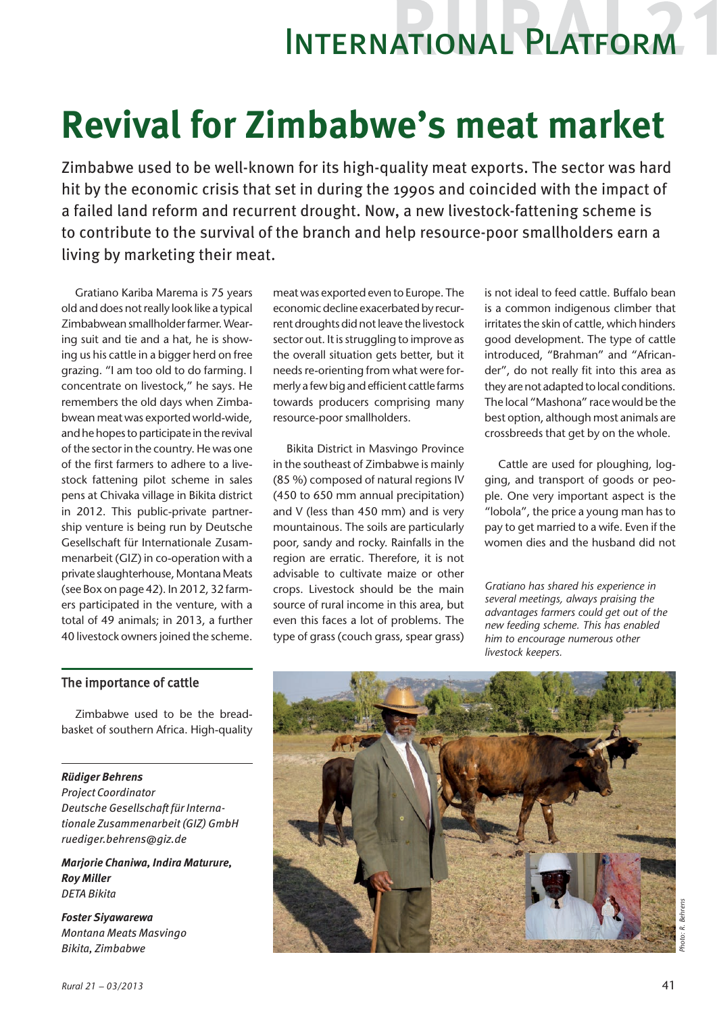## International Platform

# **Revival for Zimbabwe's meat market**

Zimbabwe used to be well-known for its high-quality meat exports. The sector was hard hit by the economic crisis that set in during the 1990s and coincided with the impact of a failed land reform and recurrent drought. Now, a new livestock-fattening scheme is to contribute to the survival of the branch and help resource-poor smallholders earn a living by marketing their meat.

Gratiano Kariba Marema is 75 years old and does not really look like a typical Zimbabwean smallholder farmer. Wearing suit and tie and a hat, he is showing us his cattle in a bigger herd on free grazing. "I am too old to do farming. I concentrate on livestock," he says. He remembers the old days when Zimbabwean meat was exported world-wide, and he hopes to participate in the revival of the sector in the country. He was one of the first farmers to adhere to a livestock fattening pilot scheme in sales pens at Chivaka village in Bikita district in 2012. This public-private partnership venture is being run by Deutsche Gesellschaft für Internationale Zusammenarbeit (GIZ) in co-operation with a private slaughterhouse, Montana Meats (see Box on page 42). In 2012, 32 farmers participated in the venture, with a total of 49 animals; in 2013, a further 40 livestock owners joined the scheme.

meat was exported even to Europe. The economic decline exacerbated by recurrent droughts did not leave the livestock sector out. It is struggling to improve as the overall situation gets better, but it needs re-orienting from what were formerly a few big and efficient cattle farms towards producers comprising many resource-poor smallholders.

Bikita District in Masvingo Province in the southeast of Zimbabwe is mainly (85 %) composed of natural regions IV (450 to 650 mm annual precipitation) and V (less than 450 mm) and is very mountainous. The soils are particularly poor, sandy and rocky. Rainfalls in the region are erratic. Therefore, it is not advisable to cultivate maize or other crops. Livestock should be the main source of rural income in this area, but even this faces a lot of problems. The type of grass (couch grass, spear grass) is not ideal to feed cattle. Buffalo bean is a common indigenous climber that irritates the skin of cattle, which hinders good development. The type of cattle introduced, "Brahman" and "Africander", do not really fit into this area as they are not adapted to local conditions. The local "Mashona" race would be the best option, although most animals are crossbreeds that get by on the whole.

Cattle are used for ploughing, logging, and transport of goods or people. One very important aspect is the "lobola", the price a young man has to pay to get married to a wife. Even if the women dies and the husband did not

*Gratiano has shared his experience in several meetings, always praising the advantages farmers could get out of the new feeding scheme. This has enabled him to encourage numerous other livestock keepers.*

## The importance of cattle

Zimbabwe used to be the breadbasket of southern Africa. High-quality

### *Rüdiger Behrens*

*Project Coordinator Deutsche Gesellschaft für Internationale Zusammenarbeit (GIZ) GmbH ruediger.behrens@giz.de*

*Marjorie Chaniwa, Indira Maturure, Roy Miller DETA Bikita*

*Foster Siyawarewa Montana Meats Masvingo Bikita, Zimbabwe*



*Photo: R. Behrens*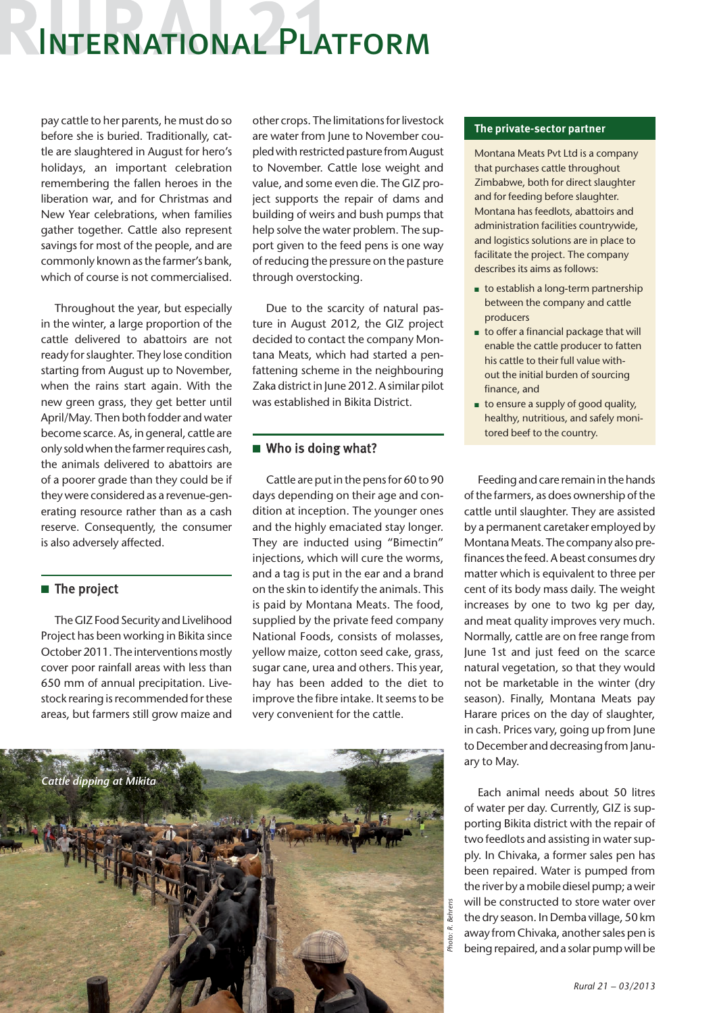## International Platform

pay cattle to her parents, he must do so before she is buried. Traditionally, cattle are slaughtered in August for hero's holidays, an important celebration remembering the fallen heroes in the liberation war, and for Christmas and New Year celebrations, when families gather together. Cattle also represent savings for most of the people, and are commonly known as the farmer's bank, which of course is not commercialised.

Throughout the year, but especially in the winter, a large proportion of the cattle delivered to abattoirs are not ready for slaughter. They lose condition starting from August up to November, when the rains start again. With the new green grass, they get better until April/May. Then both fodder and water become scarce. As, in general, cattle are only sold when the farmer requires cash, the animals delivered to abattoirs are of a poorer grade than they could be if they were considered as a revenue-generating resource rather than as a cash reserve. Consequently, the consumer is also adversely affected.

## $\blacksquare$  The project

The GIZ Food Security and Livelihood Project has been working in Bikita since October 2011. The interventions mostly cover poor rainfall areas with less than 650 mm of annual precipitation. Livestock rearing is recommended for these areas, but farmers still grow maize and

other crops. The limitations for livestock are water from June to November coupled with restricted pasture from August to November. Cattle lose weight and value, and some even die. The GIZ project supports the repair of dams and building of weirs and bush pumps that help solve the water problem. The support given to the feed pens is one way of reducing the pressure on the pasture through overstocking.

Due to the scarcity of natural pasture in August 2012, the GIZ project decided to contact the company Montana Meats, which had started a penfattening scheme in the neighbouring Zaka district in June 2012. A similar pilot was established in Bikita District.

## $\blacksquare$  Who is doing what?

Cattle are put in the pens for 60 to 90 days depending on their age and condition at inception. The younger ones and the highly emaciated stay longer. They are inducted using "Bimectin" injections, which will cure the worms, and a tag is put in the ear and a brand on the skin to identify the animals. This is paid by Montana Meats. The food, supplied by the private feed company National Foods, consists of molasses, yellow maize, cotton seed cake, grass, sugar cane, urea and others. This year, hay has been added to the diet to improve the fibre intake. It seems to be very convenient for the cattle.



#### **The private-sector partner**

Montana Meats Pvt Ltd is a company that purchases cattle throughout Zimbabwe, both for direct slaughter and for feeding before slaughter. Montana has feedlots, abattoirs and administration facilities countrywide, and logistics solutions are in place to facilitate the project. The company describes its aims as follows:

- $\blacksquare$  to establish a long-term partnership between the company and cattle producers
- $\blacksquare$  to offer a financial package that will enable the cattle producer to fatten his cattle to their full value without the initial burden of sourcing finance, and
- $\blacksquare$  to ensure a supply of good quality, healthy, nutritious, and safely monitored beef to the country.

Feeding and care remain in the hands of the farmers, as does ownership of the cattle until slaughter. They are assisted by a permanent caretaker employed by Montana Meats. The company also prefinances the feed. A beast consumes dry matter which is equivalent to three per cent of its body mass daily. The weight increases by one to two kg per day, and meat quality improves very much. Normally, cattle are on free range from June 1st and just feed on the scarce natural vegetation, so that they would not be marketable in the winter (dry season). Finally, Montana Meats pay Harare prices on the day of slaughter, in cash. Prices vary, going up from June to December and decreasing from January to May.

Each animal needs about 50 litres of water per day. Currently, GIZ is supporting Bikita district with the repair of two feedlots and assisting in water supply. In Chivaka, a former sales pen has been repaired. Water is pumped from the river by a mobile diesel pump; a weir will be constructed to store water over the dry season. In Demba village, 50 km away from Chivaka, another sales pen is being repaired, and a solar pump will be